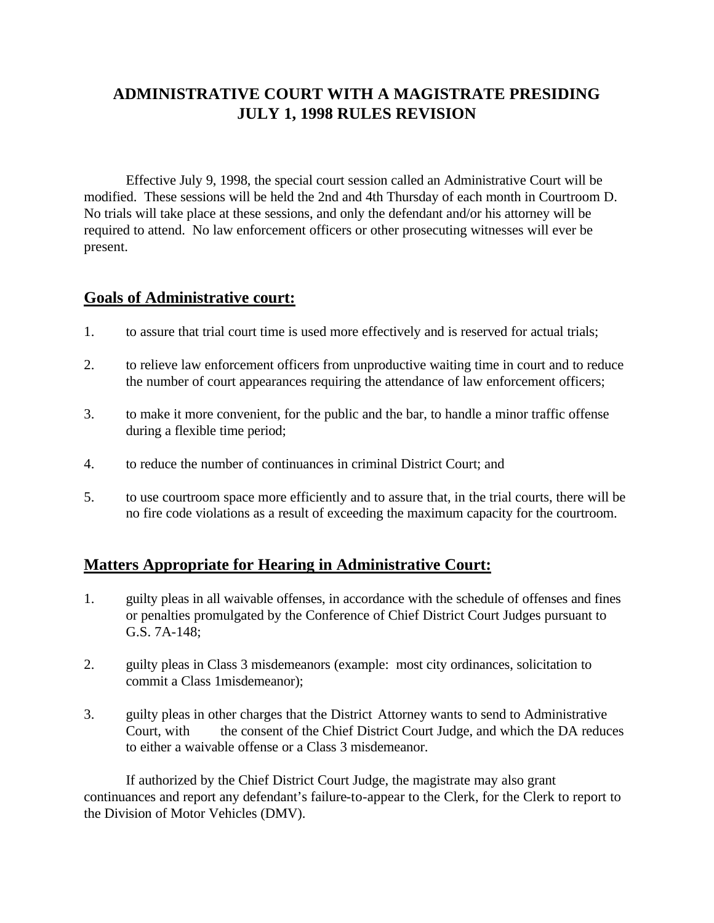# **ADMINISTRATIVE COURT WITH A MAGISTRATE PRESIDING JULY 1, 1998 RULES REVISION**

Effective July 9, 1998, the special court session called an Administrative Court will be modified. These sessions will be held the 2nd and 4th Thursday of each month in Courtroom D. No trials will take place at these sessions, and only the defendant and/or his attorney will be required to attend. No law enforcement officers or other prosecuting witnesses will ever be present.

### **Goals of Administrative court:**

- 1. to assure that trial court time is used more effectively and is reserved for actual trials;
- 2. to relieve law enforcement officers from unproductive waiting time in court and to reduce the number of court appearances requiring the attendance of law enforcement officers;
- 3. to make it more convenient, for the public and the bar, to handle a minor traffic offense during a flexible time period;
- 4. to reduce the number of continuances in criminal District Court; and
- 5. to use courtroom space more efficiently and to assure that, in the trial courts, there will be no fire code violations as a result of exceeding the maximum capacity for the courtroom.

## **Matters Appropriate for Hearing in Administrative Court:**

- 1. guilty pleas in all waivable offenses, in accordance with the schedule of offenses and fines or penalties promulgated by the Conference of Chief District Court Judges pursuant to G.S. 7A-148;
- 2. guilty pleas in Class 3 misdemeanors (example: most city ordinances, solicitation to commit a Class 1misdemeanor);
- 3. guilty pleas in other charges that the District Attorney wants to send to Administrative Court, with the consent of the Chief District Court Judge, and which the DA reduces to either a waivable offense or a Class 3 misdemeanor.

If authorized by the Chief District Court Judge, the magistrate may also grant continuances and report any defendant's failure-to-appear to the Clerk, for the Clerk to report to the Division of Motor Vehicles (DMV).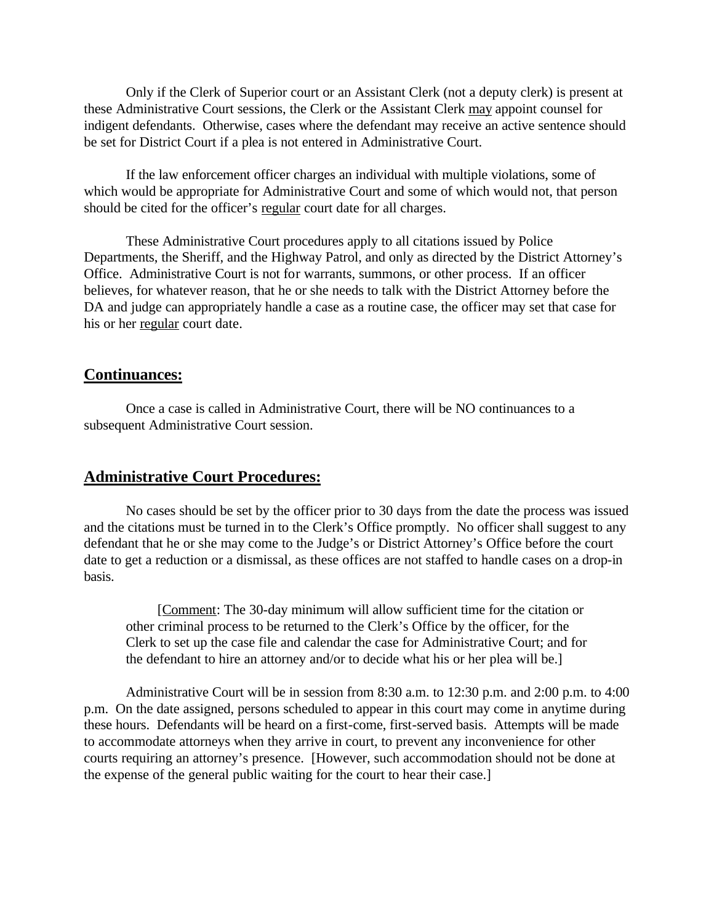Only if the Clerk of Superior court or an Assistant Clerk (not a deputy clerk) is present at these Administrative Court sessions, the Clerk or the Assistant Clerk may appoint counsel for indigent defendants. Otherwise, cases where the defendant may receive an active sentence should be set for District Court if a plea is not entered in Administrative Court.

If the law enforcement officer charges an individual with multiple violations, some of which would be appropriate for Administrative Court and some of which would not, that person should be cited for the officer's regular court date for all charges.

These Administrative Court procedures apply to all citations issued by Police Departments, the Sheriff, and the Highway Patrol, and only as directed by the District Attorney's Office. Administrative Court is not for warrants, summons, or other process. If an officer believes, for whatever reason, that he or she needs to talk with the District Attorney before the DA and judge can appropriately handle a case as a routine case, the officer may set that case for his or her regular court date.

#### **Continuances:**

Once a case is called in Administrative Court, there will be NO continuances to a subsequent Administrative Court session.

#### **Administrative Court Procedures:**

No cases should be set by the officer prior to 30 days from the date the process was issued and the citations must be turned in to the Clerk's Office promptly. No officer shall suggest to any defendant that he or she may come to the Judge's or District Attorney's Office before the court date to get a reduction or a dismissal, as these offices are not staffed to handle cases on a drop-in basis.

[Comment: The 30-day minimum will allow sufficient time for the citation or other criminal process to be returned to the Clerk's Office by the officer, for the Clerk to set up the case file and calendar the case for Administrative Court; and for the defendant to hire an attorney and/or to decide what his or her plea will be.]

Administrative Court will be in session from 8:30 a.m. to 12:30 p.m. and 2:00 p.m. to 4:00 p.m. On the date assigned, persons scheduled to appear in this court may come in anytime during these hours. Defendants will be heard on a first-come, first-served basis. Attempts will be made to accommodate attorneys when they arrive in court, to prevent any inconvenience for other courts requiring an attorney's presence. [However, such accommodation should not be done at the expense of the general public waiting for the court to hear their case.]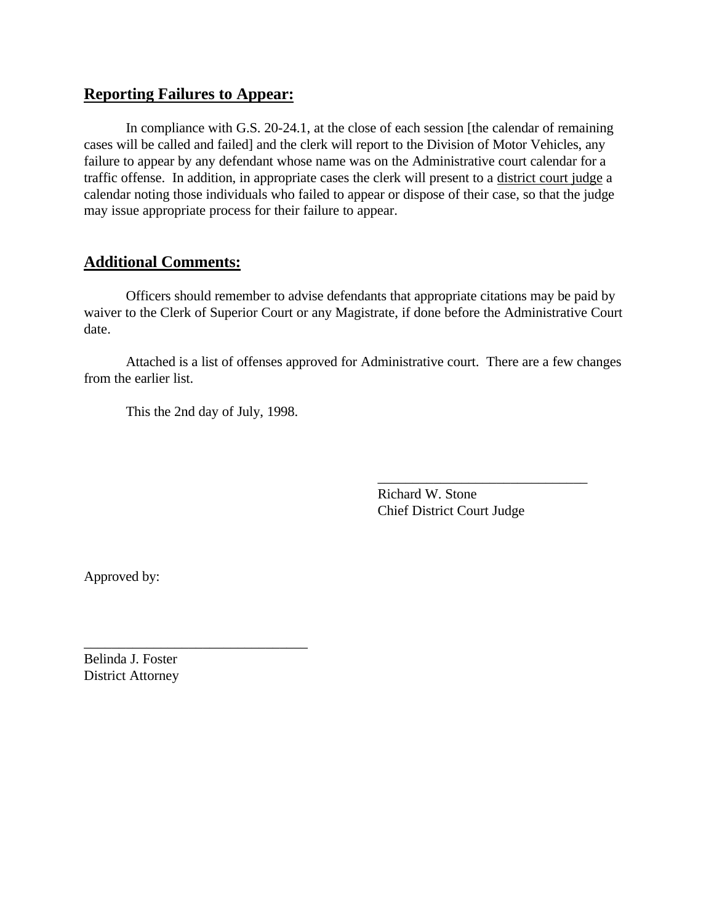### **Reporting Failures to Appear:**

In compliance with G.S. 20-24.1, at the close of each session [the calendar of remaining cases will be called and failed] and the clerk will report to the Division of Motor Vehicles, any failure to appear by any defendant whose name was on the Administrative court calendar for a traffic offense. In addition, in appropriate cases the clerk will present to a district court judge a calendar noting those individuals who failed to appear or dispose of their case, so that the judge may issue appropriate process for their failure to appear.

## **Additional Comments:**

Officers should remember to advise defendants that appropriate citations may be paid by waiver to the Clerk of Superior Court or any Magistrate, if done before the Administrative Court date.

Attached is a list of offenses approved for Administrative court. There are a few changes from the earlier list.

This the 2nd day of July, 1998.

\_\_\_\_\_\_\_\_\_\_\_\_\_\_\_\_\_\_\_\_\_\_\_\_\_\_\_\_\_\_\_\_

Richard W. Stone Chief District Court Judge

\_\_\_\_\_\_\_\_\_\_\_\_\_\_\_\_\_\_\_\_\_\_\_\_\_\_\_\_\_\_

Approved by:

Belinda J. Foster District Attorney